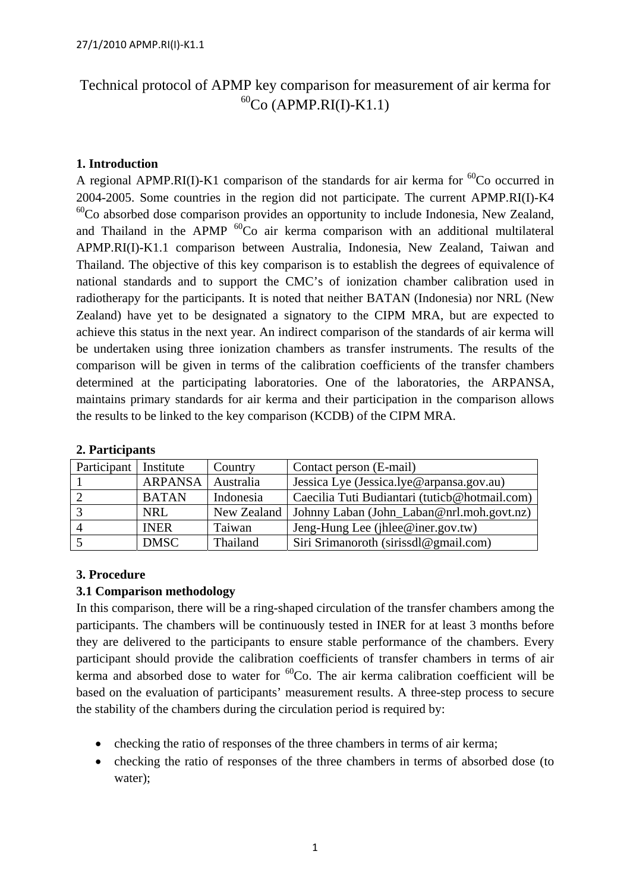# Technical protocol of APMP key comparison for measurement of air kerma for  $^{60}Co$  (APMP.RI(I)-K1.1)

## **1. Introduction**

A regional APMP.RI(I)-K1 comparison of the standards for air kerma for  ${}^{60}Co$  occurred in 2004-2005. Some countries in the region did not participate. The current APMP.RI(I)-K4  $^{60}$ Co absorbed dose comparison provides an opportunity to include Indonesia, New Zealand, and Thailand in the APMP  ${}^{60}Co$  air kerma comparison with an additional multilateral APMP.RI(I)-K1.1 comparison between Australia, Indonesia, New Zealand, Taiwan and Thailand. The objective of this key comparison is to establish the degrees of equivalence of national standards and to support the CMC's of ionization chamber calibration used in radiotherapy for the participants. It is noted that neither BATAN (Indonesia) nor NRL (New Zealand) have yet to be designated a signatory to the CIPM MRA, but are expected to achieve this status in the next year. An indirect comparison of the standards of air kerma will be undertaken using three ionization chambers as transfer instruments. The results of the comparison will be given in terms of the calibration coefficients of the transfer chambers determined at the participating laboratories. One of the laboratories, the ARPANSA, maintains primary standards for air kerma and their participation in the comparison allows the results to be linked to the key comparison (KCDB) of the CIPM MRA.

| Participant<br>Institute | Country     | Contact person (E-mail)                       |
|--------------------------|-------------|-----------------------------------------------|
|                          | Australia   | Jessica Lye (Jessica.lye@arpansa.gov.au)      |
| <b>BATAN</b>             | Indonesia   | Caecilia Tuti Budiantari (tuticb@hotmail.com) |
| <b>NRL</b>               | New Zealand | Johnny Laban (John_Laban@nrl.moh.govt.nz)     |
| <b>INER</b>              | Taiwan      | Jeng-Hung Lee (jhlee@iner.gov.tw)             |
| <b>DMSC</b>              | Thailand    | Siri Srimanoroth (sirissdl@gmail.com)         |
|                          |             | <b>ARPANSA</b>                                |

## **2. Participants**

## **3. Procedure**

## **3.1 Comparison methodology**

In this comparison, there will be a ring-shaped circulation of the transfer chambers among the participants. The chambers will be continuously tested in INER for at least 3 months before they are delivered to the participants to ensure stable performance of the chambers. Every participant should provide the calibration coefficients of transfer chambers in terms of air kerma and absorbed dose to water for  ${}^{60}Co$ . The air kerma calibration coefficient will be based on the evaluation of participants' measurement results. A three-step process to secure the stability of the chambers during the circulation period is required by:

- checking the ratio of responses of the three chambers in terms of air kerma;
- checking the ratio of responses of the three chambers in terms of absorbed dose (to water);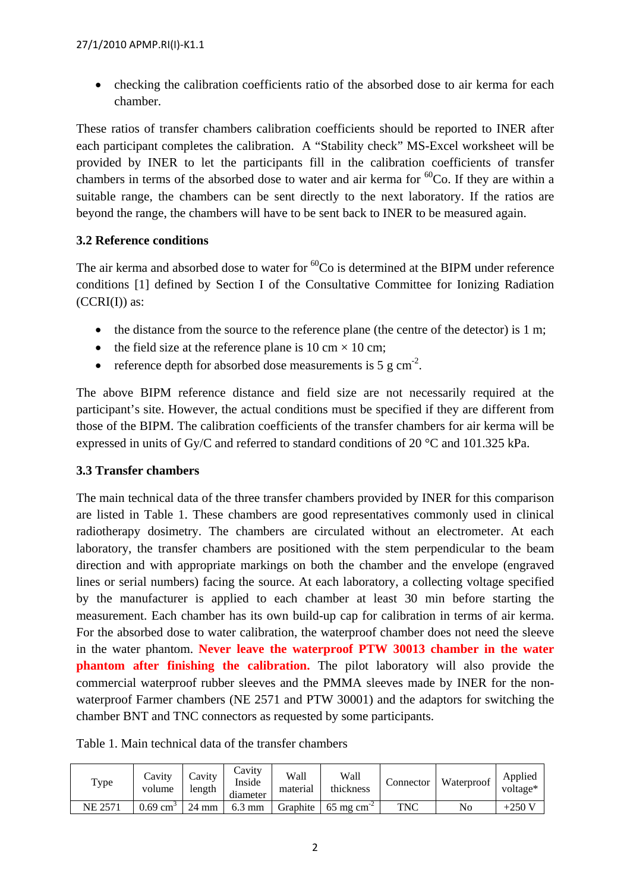• checking the calibration coefficients ratio of the absorbed dose to air kerma for each chamber.

These ratios of transfer chambers calibration coefficients should be reported to INER after each participant completes the calibration. A "Stability check" MS-Excel worksheet will be provided by INER to let the participants fill in the calibration coefficients of transfer chambers in terms of the absorbed dose to water and air kerma for  ${}^{60}Co$ . If they are within a suitable range, the chambers can be sent directly to the next laboratory. If the ratios are beyond the range, the chambers will have to be sent back to INER to be measured again.

## **3.2 Reference conditions**

The air kerma and absorbed dose to water for  ${}^{60}Co$  is determined at the BIPM under reference conditions [1] defined by Section I of the Consultative Committee for Ionizing Radiation  $(CCRI(I))$  as:

- the distance from the source to the reference plane (the centre of the detector) is 1 m;
- the field size at the reference plane is  $10 \text{ cm} \times 10 \text{ cm}$ ;
- reference depth for absorbed dose measurements is  $5 \text{ g cm}^{-2}$ .

The above BIPM reference distance and field size are not necessarily required at the participant's site. However, the actual conditions must be specified if they are different from those of the BIPM. The calibration coefficients of the transfer chambers for air kerma will be expressed in units of Gy/C and referred to standard conditions of 20 °C and 101.325 kPa.

## **3.3 Transfer chambers**

The main technical data of the three transfer chambers provided by INER for this comparison are listed in Table 1. These chambers are good representatives commonly used in clinical radiotherapy dosimetry. The chambers are circulated without an electrometer. At each laboratory, the transfer chambers are positioned with the stem perpendicular to the beam direction and with appropriate markings on both the chamber and the envelope (engraved lines or serial numbers) facing the source. At each laboratory, a collecting voltage specified by the manufacturer is applied to each chamber at least 30 min before starting the measurement. Each chamber has its own build-up cap for calibration in terms of air kerma. For the absorbed dose to water calibration, the waterproof chamber does not need the sleeve in the water phantom. **Never leave the waterproof PTW 30013 chamber in the water phantom after finishing the calibration.** The pilot laboratory will also provide the commercial waterproof rubber sleeves and the PMMA sleeves made by INER for the nonwaterproof Farmer chambers (NE 2571 and PTW 30001) and the adaptors for switching the chamber BNT and TNC connectors as requested by some participants.

| Table 1. Main technical data of the transfer chambers |  |
|-------------------------------------------------------|--|
|-------------------------------------------------------|--|

| Type           | Cavity<br>volume       | Cavity<br>length | Cavity<br>Inside<br>diameter | Wall<br>material | Wall<br>thickness       | Connector | Waterproof | Applied<br>voltage* |
|----------------|------------------------|------------------|------------------------------|------------------|-------------------------|-----------|------------|---------------------|
| <b>NE 2571</b> | $0.69$ cm <sup>3</sup> | 24 mm            | $6.3 \text{ mm}$             | Graphite         | $65 \text{ mg cm}^{-2}$ | TNC       | No         | $+250V$             |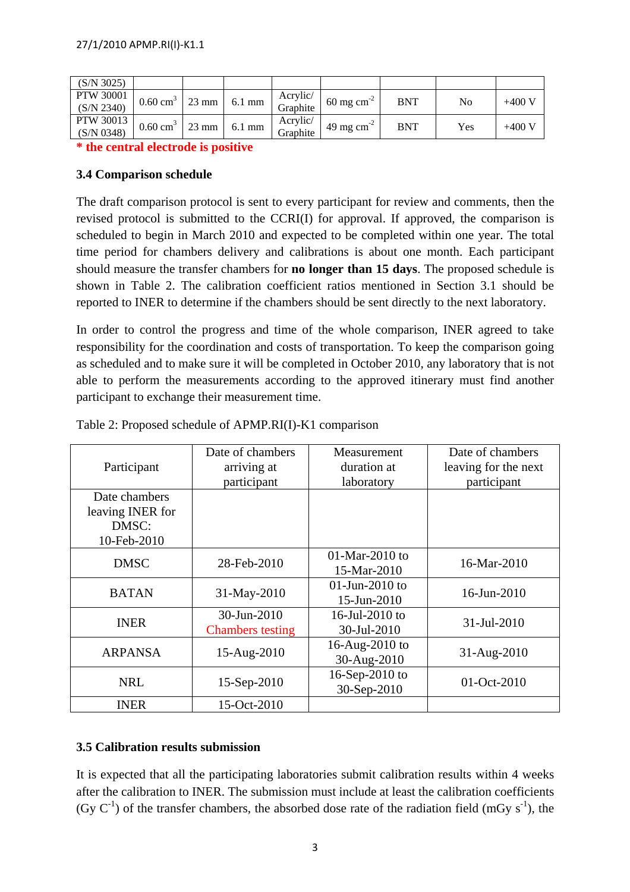| (S/N 3025)                     |                             |                           |                  |                      |                         |            |     |         |
|--------------------------------|-----------------------------|---------------------------|------------------|----------------------|-------------------------|------------|-----|---------|
| <b>PTW 30001</b><br>(S/N 2340) | $0.60 \text{ cm}^3$         | $\frac{23 \text{ mm}}{2}$ | $6.1 \text{ mm}$ | Acrylic/<br>Graphite | $60 \text{ mg cm}^{-2}$ | <b>BNT</b> | No  | $+400V$ |
| PTW 30013<br>(S/N 0348)        | $0.60 \text{ cm}^3$   23 mm |                           | $6.1$ mm         | Acrylic/<br>Graphite | 49 mg cm <sup>-2</sup>  | <b>BNT</b> | Yes | $+400V$ |

**\* the central electrode is positive** 

#### **3.4 Comparison schedule**

The draft comparison protocol is sent to every participant for review and comments, then the revised protocol is submitted to the CCRI(I) for approval. If approved, the comparison is scheduled to begin in March 2010 and expected to be completed within one year. The total time period for chambers delivery and calibrations is about one month. Each participant should measure the transfer chambers for **no longer than 15 days**. The proposed schedule is shown in Table 2. The calibration coefficient ratios mentioned in Section 3.1 should be reported to INER to determine if the chambers should be sent directly to the next laboratory.

In order to control the progress and time of the whole comparison, INER agreed to take responsibility for the coordination and costs of transportation. To keep the comparison going as scheduled and to make sure it will be completed in October 2010, any laboratory that is not able to perform the measurements according to the approved itinerary must find another participant to exchange their measurement time.

|                  | Date of chambers        | Measurement       | Date of chambers     |  |
|------------------|-------------------------|-------------------|----------------------|--|
| Participant      | arriving at             | duration at       | leaving for the next |  |
|                  | participant             | laboratory        | participant          |  |
| Date chambers    |                         |                   |                      |  |
| leaving INER for |                         |                   |                      |  |
| DMSC:            |                         |                   |                      |  |
| 10-Feb-2010      |                         |                   |                      |  |
| <b>DMSC</b>      | 28-Feb-2010             | $01$ -Mar-2010 to |                      |  |
|                  |                         | 15-Mar-2010       | 16-Mar-2010          |  |
| <b>BATAN</b>     | 31-May-2010             | $01$ -Jun-2010 to | $16$ -Jun-2010       |  |
|                  |                         | 15-Jun-2010       |                      |  |
| <b>INER</b>      | 30-Jun-2010             | 16-Jul-2010 to    | 31-Jul-2010          |  |
|                  | <b>Chambers testing</b> | 30-Jul-2010       |                      |  |
| <b>ARPANSA</b>   | 15-Aug-2010             | 16-Aug-2010 to    |                      |  |
|                  |                         | 30-Aug-2010       | 31-Aug-2010          |  |
| <b>NRL</b>       |                         | 16-Sep-2010 to    |                      |  |
|                  | 15-Sep-2010             | 30-Sep-2010       | 01-Oct-2010          |  |
| <b>INER</b>      | 15-Oct-2010             |                   |                      |  |

|  |  | Table 2: Proposed schedule of APMP.RI(I)-K1 comparison |
|--|--|--------------------------------------------------------|
|  |  |                                                        |

## **3.5 Calibration results submission**

It is expected that all the participating laboratories submit calibration results within 4 weeks after the calibration to INER. The submission must include at least the calibration coefficients (Gy  $C^{-1}$ ) of the transfer chambers, the absorbed dose rate of the radiation field (mGy s<sup>-1</sup>), the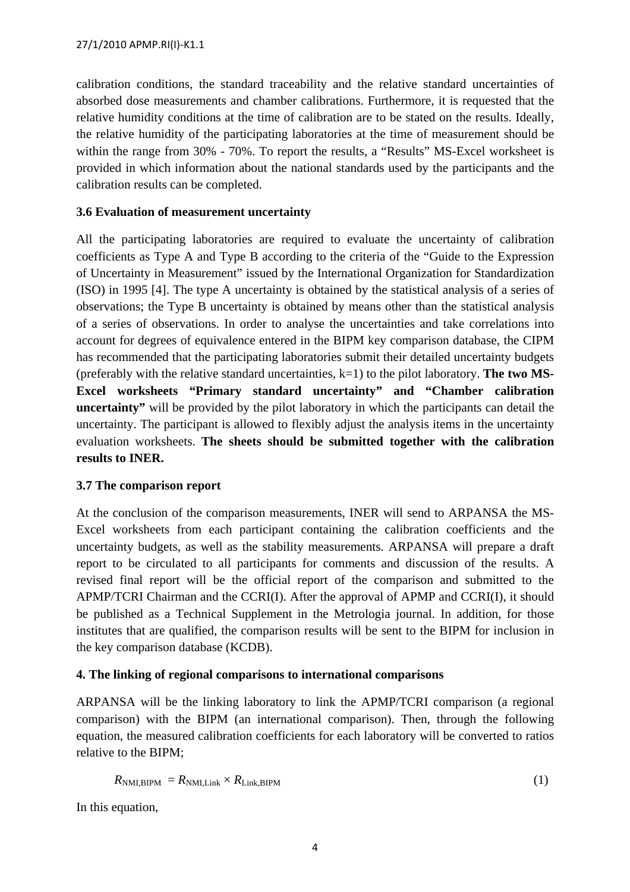calibration conditions, the standard traceability and the relative standard uncertainties of absorbed dose measurements and chamber calibrations. Furthermore, it is requested that the relative humidity conditions at the time of calibration are to be stated on the results. Ideally, the relative humidity of the participating laboratories at the time of measurement should be within the range from 30% - 70%. To report the results, a "Results" MS-Excel worksheet is provided in which information about the national standards used by the participants and the calibration results can be completed.

## **3.6 Evaluation of measurement uncertainty**

All the participating laboratories are required to evaluate the uncertainty of calibration coefficients as Type A and Type B according to the criteria of the "Guide to the Expression of Uncertainty in Measurement" issued by the International Organization for Standardization (ISO) in 1995 [4]. The type A uncertainty is obtained by the statistical analysis of a series of observations; the Type B uncertainty is obtained by means other than the statistical analysis of a series of observations. In order to analyse the uncertainties and take correlations into account for degrees of equivalence entered in the BIPM key comparison database, the CIPM has recommended that the participating laboratories submit their detailed uncertainty budgets (preferably with the relative standard uncertainties, k=1) to the pilot laboratory. **The two MS-Excel worksheets "Primary standard uncertainty" and "Chamber calibration uncertainty"** will be provided by the pilot laboratory in which the participants can detail the uncertainty. The participant is allowed to flexibly adjust the analysis items in the uncertainty evaluation worksheets. **The sheets should be submitted together with the calibration results to INER.** 

## **3.7 The comparison report**

At the conclusion of the comparison measurements, INER will send to ARPANSA the MS-Excel worksheets from each participant containing the calibration coefficients and the uncertainty budgets, as well as the stability measurements. ARPANSA will prepare a draft report to be circulated to all participants for comments and discussion of the results. A revised final report will be the official report of the comparison and submitted to the APMP/TCRI Chairman and the CCRI(I). After the approval of APMP and CCRI(I), it should be published as a Technical Supplement in the Metrologia journal. In addition, for those institutes that are qualified, the comparison results will be sent to the BIPM for inclusion in the key comparison database (KCDB).

## **4. The linking of regional comparisons to international comparisons**

ARPANSA will be the linking laboratory to link the APMP/TCRI comparison (a regional comparison) with the BIPM (an international comparison). Then, through the following equation, the measured calibration coefficients for each laboratory will be converted to ratios relative to the BIPM;

$$
R_{\text{NMI,BIPM}} = R_{\text{NMI,Link}} \times R_{\text{Link,BIPM}} \tag{1}
$$

In this equation,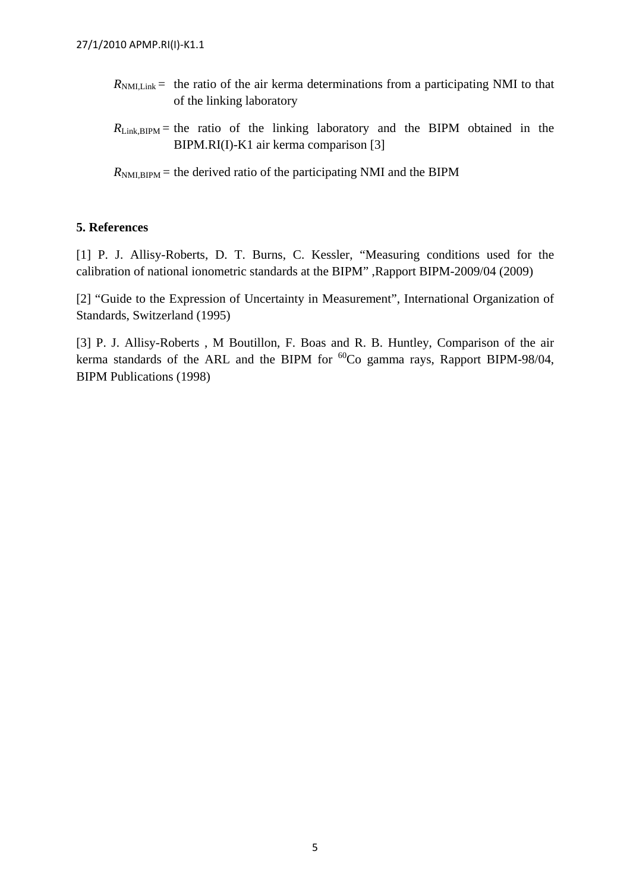- $R_{\text{NMLLink}}$  = the ratio of the air kerma determinations from a participating NMI to that of the linking laboratory
- $R_{\text{Link,BIPM}}$  = the ratio of the linking laboratory and the BIPM obtained in the BIPM.RI(I)-K1 air kerma comparison [3]

 $R_{\text{NMLBIPM}}$  = the derived ratio of the participating NMI and the BIPM

## **5. References**

[1] P. J. Allisy-Roberts, D. T. Burns, C. Kessler, "Measuring conditions used for the calibration of national ionometric standards at the BIPM" ,Rapport BIPM-2009/04 (2009)

[2] "Guide to the Expression of Uncertainty in Measurement", International Organization of Standards, Switzerland (1995)

[3] P. J. Allisy-Roberts , M Boutillon, F. Boas and R. B. Huntley, Comparison of the air kerma standards of the ARL and the BIPM for  ${}^{60}Co$  gamma rays, Rapport BIPM-98/04, BIPM Publications (1998)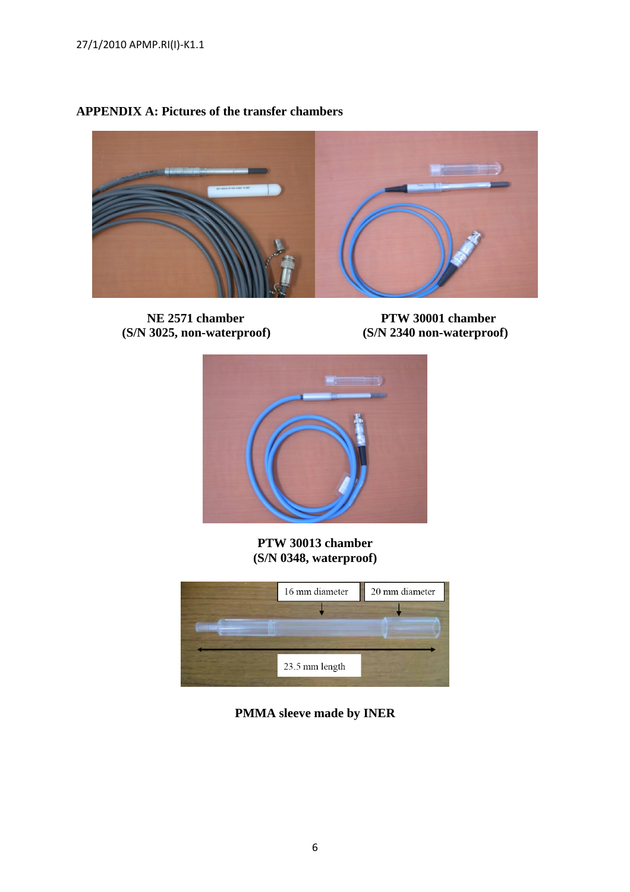27/1/2010 APMP.RI(I)‐K1.1

#### **APPENDIX A: Pictures of the transfer chambers**



**NE 2571 chamber<br>
(S/N 3025, non-waterproof) PTW 30001 chamber**<br>
(S/N 2340 non-waterproof)

**(S/N 3025, non-waterproof) (S/N 2340 non-waterproof)** 



**PTW 30013 chamber (S/N 0348, waterproof)** 



**PMMA sleeve made by INER**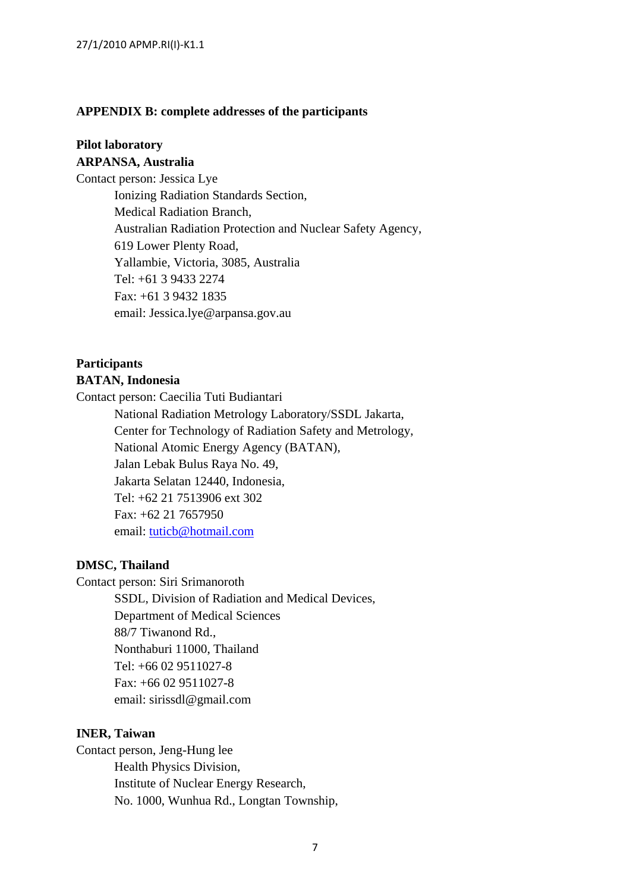#### **APPENDIX B: complete addresses of the participants**

#### **Pilot laboratory ARPANSA, Australia**

Contact person: Jessica Lye Ionizing Radiation Standards Section,

 Medical Radiation Branch, Australian Radiation Protection and Nuclear Safety Agency, 619 Lower Plenty Road, Yallambie, Victoria, 3085, Australia Tel: +61 3 9433 2274 Fax: +61 3 9432 1835 email: Jessica.lye@arpansa.gov.au

## **Participants BATAN, Indonesia**

Contact person: Caecilia Tuti Budiantari National Radiation Metrology Laboratory/SSDL Jakarta, Center for Technology of Radiation Safety and Metrology, National Atomic Energy Agency (BATAN), Jalan Lebak Bulus Raya No. 49, Jakarta Selatan 12440, Indonesia, Tel: +62 21 7513906 ext 302 Fax: +62 21 7657950 email: [tuticb@hotmail.com](mailto:tuticb@hotmail.com)

#### **DMSC, Thailand**

Contact person: Siri Srimanoroth

 SSDL, Division of Radiation and Medical Devices, Department of Medical Sciences 88/7 Tiwanond Rd., Nonthaburi 11000, Thailand Tel: +66 02 9511027-8 Fax: +66 02 9511027-8 email: sirissdl@gmail.com

#### **INER, Taiwan**

Contact person, Jeng-Hung lee Health Physics Division, Institute of Nuclear Energy Research, No. 1000, Wunhua Rd., Longtan Township,